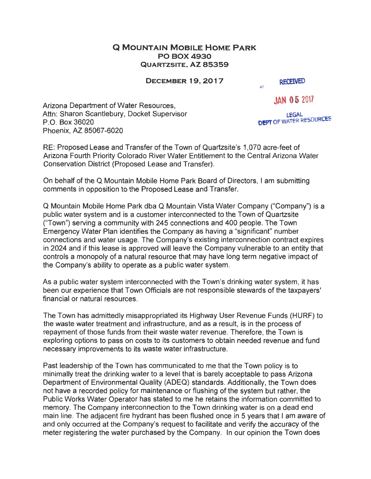## **Q MOUNTAIN MOBILE HOME PARK POBOX4930 QUARTZSITE, AZ 85359**

**DECEMBER 19, 2017** 

**RECEIVED** 

als.

**JAN 05** 20'7

Arizona Department of Water Resources, Attn: Sharon Scantlebury, Docket Supervisor P.O. Box 36020 Phoenix, AZ 85067-6020

**LEGAL**<br>**DEPT OF WATER RESOURCES** 

RE: Proposed Lease and Transfer of the Town of Quartzsite's 1,070 acre-feet of Arizona Fourth Priority Colorado River Water Entitlement to the Central Arizona Water Conservation District (Proposed Lease and Transfer).

On behalf of the Q Mountain Mobile Home Park Board of Directors, I am submitting comments in opposition to the Proposed Lease and Transfer.

Q Mountain Mobile Home Park dba Q Mountain Vista Water Company ("Company") is a public water system and is a customer interconnected to the Town of Quartzsite ("Town") serving a community with 245 connections and 400 people. The Town Emergency Water Plan identifies the Company as having a "significant" number connections and water usage. The Company's existing interconnection contract expires in 2024 and if this lease is approved will leave the Company vulnerable to an entity that controls a monopoly of a natural resource that may have long term negative impact of the Company's ability to operate as a public water system.

As a public water system interconnected with the Town's drinking water system, it has been our experience that Town Officials are not responsible stewards of the taxpayers' financial or natural resources.

The Town has admittedly misappropriated its Highway User Revenue Funds (HURF) to the waste water treatment and infrastructure, and as a result, is in the process of repayment of those funds from their waste water revenue. Therefore, the Town is exploring options to pass on costs to its customers to obtain needed revenue and fund necessary improvements to its waste water infrastructure.

Past leadership of the Town has communicated to me that the Town policy is to minimally treat the drinking water to a level that is barely acceptable to pass Arizona Department of Environmental Quality (ADEQ) standards. Additionally, the Town does not have a recorded policy for maintenance or flushing of the system but rather, the Public Works Water Operator has stated to me he retains the information committed to memory. The Company interconnection to the Town drinking water is on a dead end main line. The adjacent fire hydrant has been flushed once in 5 years that I am aware of and only occurred at the Company's request to facilitate and verify the accuracy of the meter registering the water purchased by the Company. In our opinion the Town does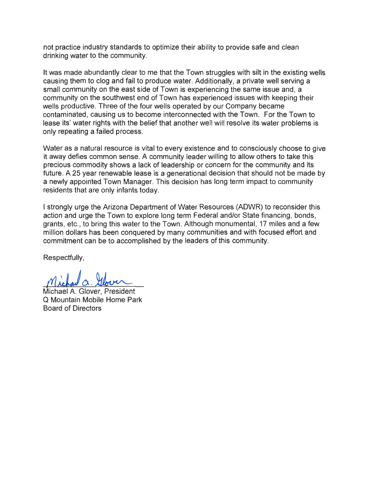not practice industry standards to optimize their ability to provide safe and clean drinking water to the community.

It was made abundantly clear to me that the Town struggles with silt in the existing wells causing them to clog and fail to produce water. Additionally, a private well serving a small community on the east side of Town is experiencing the same issue and, a community on the southwest end of Town has experienced issues with keeping their wells productive. Three of the four wells operated by our Company became contaminated, causing us to become interconnected with the Town. For the Town to lease its' water rights with the belief that another well will resolve its water problems is only repeating a failed process.

Water as a natural resource is vital to every existence and to consciously choose to give it away defies common sense. A community leader willing to allow others to take this precious commodity shows a lack of leadership or concern for the community and its future. A 25 year renewable lease is a generational decision that should not be made by a newly appointed Town Manager. This decision has long term impact to community residents that are only infants today.

I strongly urge the Arizona Department of Water Resources (ADWR) to reconsider this action and urge the Town to explore long term Federal and/or State financing, bonds, grants, etc., to bring this water to the Town. Although monumental, 17 miles and a few million dollars has been conquered by many communities and with focused effort and commitment can be to accomplished by the leaders of this community.

Respectfully,

Michael <sup>1</sup>,<br><u>Ct. Ilbour</u><br>Blover, President

Michael A. Glover Q Mountain Mobile Home Park Board of Directors